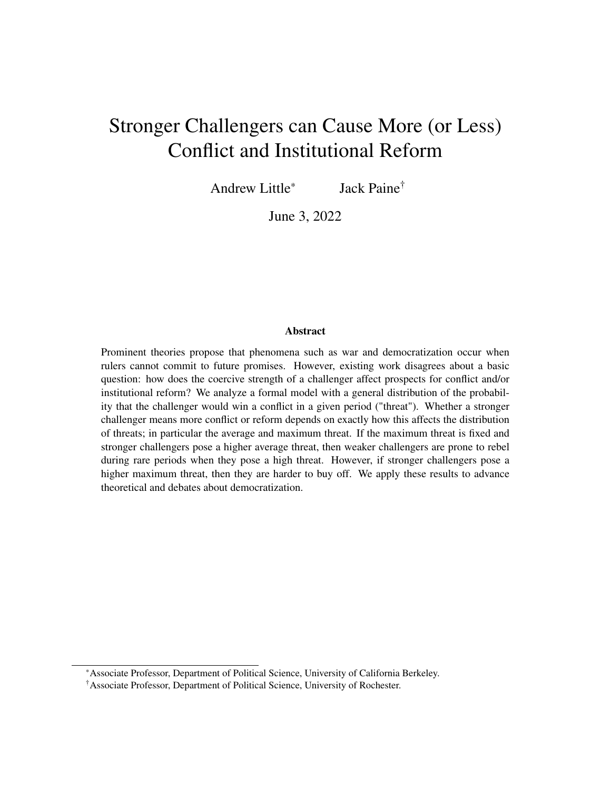# Stronger Challengers can Cause More (or Less) Conflict and Institutional Reform

Andrew Little\* Jack Paine†

June 3, 2022

## Abstract

Prominent theories propose that phenomena such as war and democratization occur when rulers cannot commit to future promises. However, existing work disagrees about a basic question: how does the coercive strength of a challenger affect prospects for conflict and/or institutional reform? We analyze a formal model with a general distribution of the probability that the challenger would win a conflict in a given period ("threat"). Whether a stronger challenger means more conflict or reform depends on exactly how this affects the distribution of threats; in particular the average and maximum threat. If the maximum threat is fixed and stronger challengers pose a higher average threat, then weaker challengers are prone to rebel during rare periods when they pose a high threat. However, if stronger challengers pose a higher maximum threat, then they are harder to buy off. We apply these results to advance theoretical and debates about democratization.

<sup>\*</sup>Associate Professor, Department of Political Science, University of California Berkeley.

<sup>†</sup>Associate Professor, Department of Political Science, University of Rochester.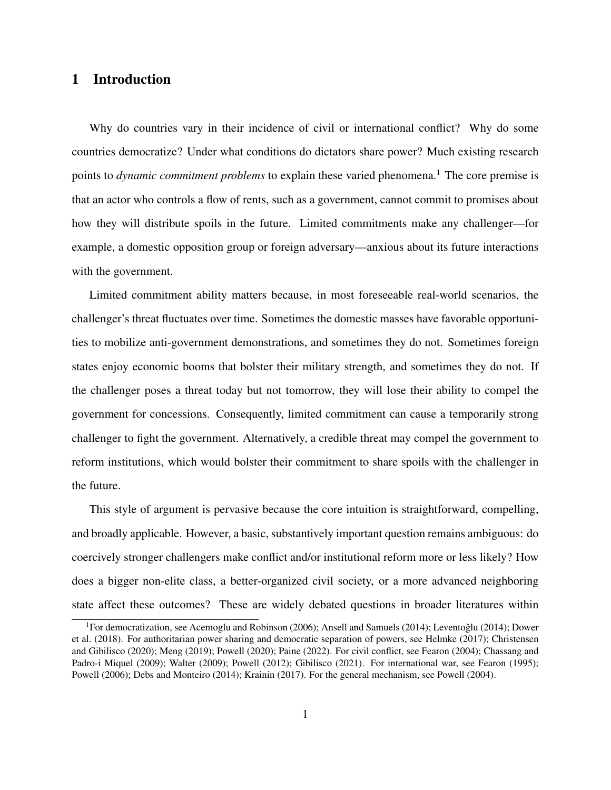# 1 Introduction

Why do countries vary in their incidence of civil or international conflict? Why do some countries democratize? Under what conditions do dictators share power? Much existing research points to *dynamic commitment problems* to explain these varied phenomena.<sup>1</sup> The core premise is that an actor who controls a flow of rents, such as a government, cannot commit to promises about how they will distribute spoils in the future. Limited commitments make any challenger—for example, a domestic opposition group or foreign adversary—anxious about its future interactions with the government.

Limited commitment ability matters because, in most foreseeable real-world scenarios, the challenger's threat fluctuates over time. Sometimes the domestic masses have favorable opportunities to mobilize anti-government demonstrations, and sometimes they do not. Sometimes foreign states enjoy economic booms that bolster their military strength, and sometimes they do not. If the challenger poses a threat today but not tomorrow, they will lose their ability to compel the government for concessions. Consequently, limited commitment can cause a temporarily strong challenger to fight the government. Alternatively, a credible threat may compel the government to reform institutions, which would bolster their commitment to share spoils with the challenger in the future.

This style of argument is pervasive because the core intuition is straightforward, compelling, and broadly applicable. However, a basic, substantively important question remains ambiguous: do coercively stronger challengers make conflict and/or institutional reform more or less likely? How does a bigger non-elite class, a better-organized civil society, or a more advanced neighboring state affect these outcomes? These are widely debated questions in broader literatures within

<sup>&</sup>lt;sup>1</sup>For democratization, see Acemoglu and Robinson (2006); Ansell and Samuels (2014); Leventoğlu (2014); Dower et al. (2018). For authoritarian power sharing and democratic separation of powers, see Helmke (2017); Christensen and Gibilisco (2020); Meng (2019); Powell (2020); Paine (2022). For civil conflict, see Fearon (2004); Chassang and Padro-i Miquel (2009); Walter (2009); Powell (2012); Gibilisco (2021). For international war, see Fearon (1995); Powell (2006); Debs and Monteiro (2014); Krainin (2017). For the general mechanism, see Powell (2004).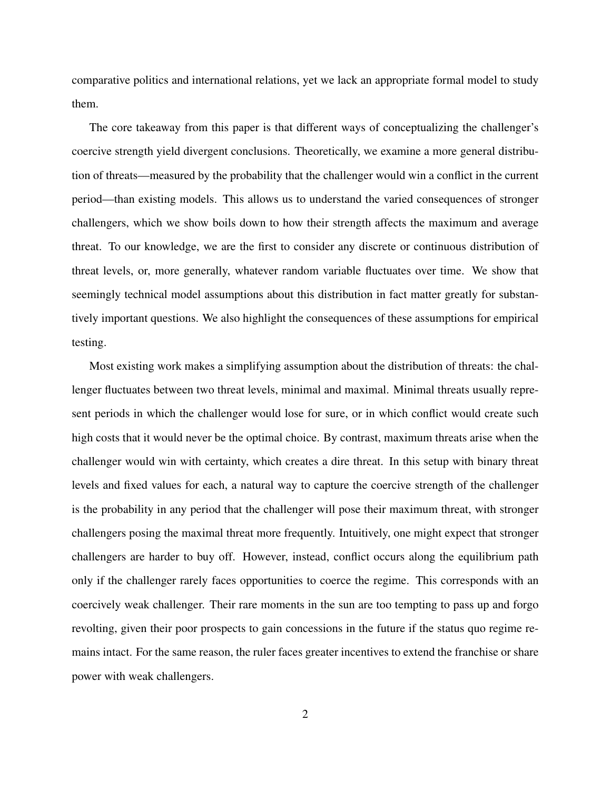comparative politics and international relations, yet we lack an appropriate formal model to study them.

The core takeaway from this paper is that different ways of conceptualizing the challenger's coercive strength yield divergent conclusions. Theoretically, we examine a more general distribution of threats—measured by the probability that the challenger would win a conflict in the current period—than existing models. This allows us to understand the varied consequences of stronger challengers, which we show boils down to how their strength affects the maximum and average threat. To our knowledge, we are the first to consider any discrete or continuous distribution of threat levels, or, more generally, whatever random variable fluctuates over time. We show that seemingly technical model assumptions about this distribution in fact matter greatly for substantively important questions. We also highlight the consequences of these assumptions for empirical testing.

Most existing work makes a simplifying assumption about the distribution of threats: the challenger fluctuates between two threat levels, minimal and maximal. Minimal threats usually represent periods in which the challenger would lose for sure, or in which conflict would create such high costs that it would never be the optimal choice. By contrast, maximum threats arise when the challenger would win with certainty, which creates a dire threat. In this setup with binary threat levels and fixed values for each, a natural way to capture the coercive strength of the challenger is the probability in any period that the challenger will pose their maximum threat, with stronger challengers posing the maximal threat more frequently. Intuitively, one might expect that stronger challengers are harder to buy off. However, instead, conflict occurs along the equilibrium path only if the challenger rarely faces opportunities to coerce the regime. This corresponds with an coercively weak challenger. Their rare moments in the sun are too tempting to pass up and forgo revolting, given their poor prospects to gain concessions in the future if the status quo regime remains intact. For the same reason, the ruler faces greater incentives to extend the franchise or share power with weak challengers.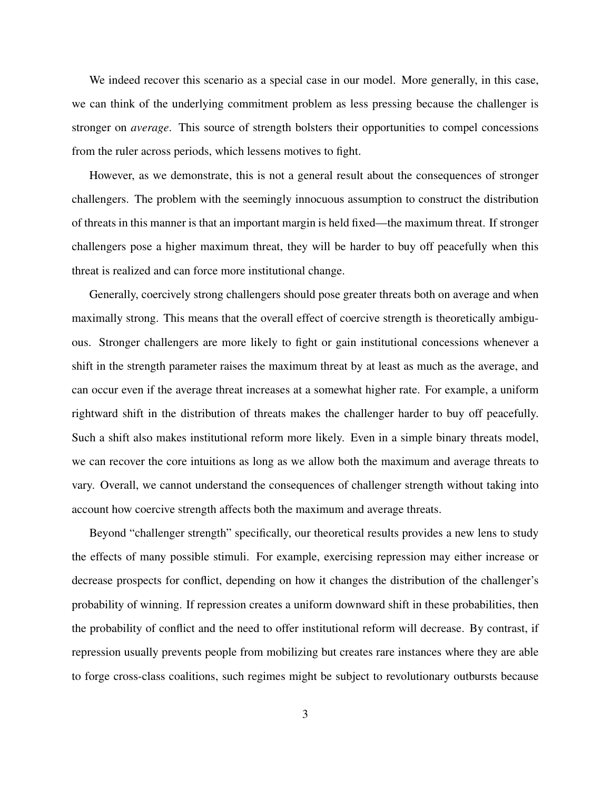We indeed recover this scenario as a special case in our model. More generally, in this case, we can think of the underlying commitment problem as less pressing because the challenger is stronger on *average*. This source of strength bolsters their opportunities to compel concessions from the ruler across periods, which lessens motives to fight.

However, as we demonstrate, this is not a general result about the consequences of stronger challengers. The problem with the seemingly innocuous assumption to construct the distribution of threats in this manner is that an important margin is held fixed—the maximum threat. If stronger challengers pose a higher maximum threat, they will be harder to buy off peacefully when this threat is realized and can force more institutional change.

Generally, coercively strong challengers should pose greater threats both on average and when maximally strong. This means that the overall effect of coercive strength is theoretically ambiguous. Stronger challengers are more likely to fight or gain institutional concessions whenever a shift in the strength parameter raises the maximum threat by at least as much as the average, and can occur even if the average threat increases at a somewhat higher rate. For example, a uniform rightward shift in the distribution of threats makes the challenger harder to buy off peacefully. Such a shift also makes institutional reform more likely. Even in a simple binary threats model, we can recover the core intuitions as long as we allow both the maximum and average threats to vary. Overall, we cannot understand the consequences of challenger strength without taking into account how coercive strength affects both the maximum and average threats.

Beyond "challenger strength" specifically, our theoretical results provides a new lens to study the effects of many possible stimuli. For example, exercising repression may either increase or decrease prospects for conflict, depending on how it changes the distribution of the challenger's probability of winning. If repression creates a uniform downward shift in these probabilities, then the probability of conflict and the need to offer institutional reform will decrease. By contrast, if repression usually prevents people from mobilizing but creates rare instances where they are able to forge cross-class coalitions, such regimes might be subject to revolutionary outbursts because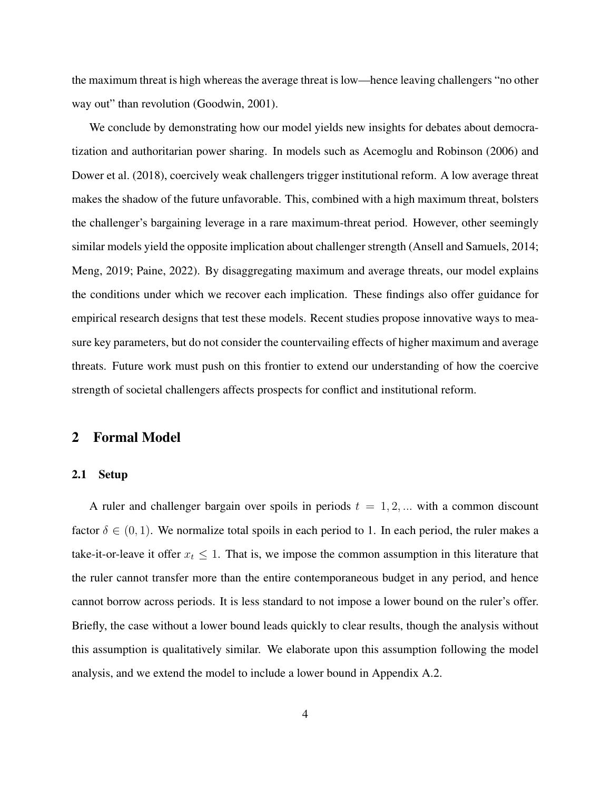the maximum threat is high whereas the average threat is low—hence leaving challengers "no other way out" than revolution (Goodwin, 2001).

We conclude by demonstrating how our model yields new insights for debates about democratization and authoritarian power sharing. In models such as Acemoglu and Robinson (2006) and Dower et al. (2018), coercively weak challengers trigger institutional reform. A low average threat makes the shadow of the future unfavorable. This, combined with a high maximum threat, bolsters the challenger's bargaining leverage in a rare maximum-threat period. However, other seemingly similar models yield the opposite implication about challenger strength (Ansell and Samuels, 2014; Meng, 2019; Paine, 2022). By disaggregating maximum and average threats, our model explains the conditions under which we recover each implication. These findings also offer guidance for empirical research designs that test these models. Recent studies propose innovative ways to measure key parameters, but do not consider the countervailing effects of higher maximum and average threats. Future work must push on this frontier to extend our understanding of how the coercive strength of societal challengers affects prospects for conflict and institutional reform.

# 2 Formal Model

### 2.1 Setup

A ruler and challenger bargain over spoils in periods  $t = 1, 2, ...$  with a common discount factor  $\delta \in (0, 1)$ . We normalize total spoils in each period to 1. In each period, the ruler makes a take-it-or-leave it offer  $x_t \leq 1$ . That is, we impose the common assumption in this literature that the ruler cannot transfer more than the entire contemporaneous budget in any period, and hence cannot borrow across periods. It is less standard to not impose a lower bound on the ruler's offer. Briefly, the case without a lower bound leads quickly to clear results, though the analysis without this assumption is qualitatively similar. We elaborate upon this assumption following the model analysis, and we extend the model to include a lower bound in Appendix A.2.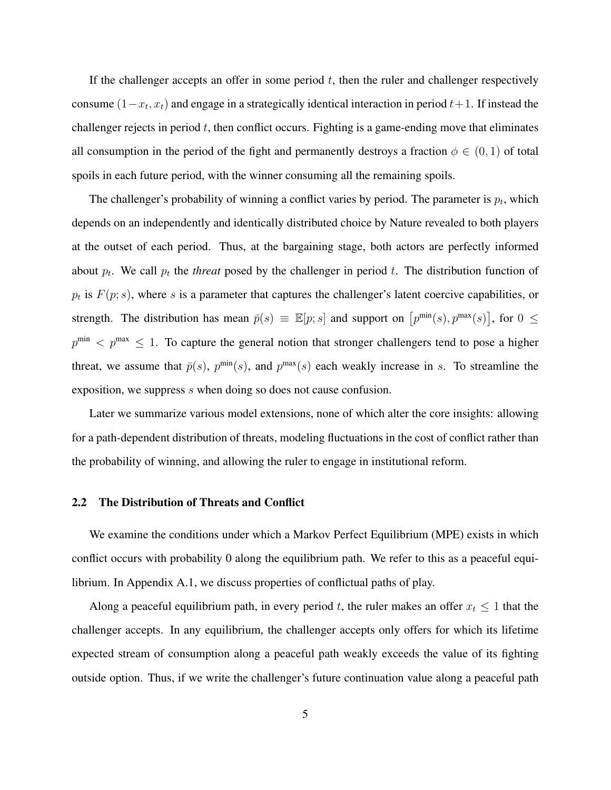If the challenger accepts an offer in some period  $t$ , then the ruler and challenger respectively consume  $(1-x_t, x_t)$  and engage in a strategically identical interaction in period  $t+1$ . If instead the challenger rejects in period  $t$ , then conflict occurs. Fighting is a game-ending move that eliminates all consumption in the period of the fight and permanently destroys a fraction  $\phi \in (0,1)$  of total spoils in each future period, with the winner consuming all the remaining spoils.

The challenger's probability of winning a conflict varies by period. The parameter is  $p_t$ , which depends on an independently and identically distributed choice by Nature revealed to both players at the outset of each period. Thus, at the bargaining stage, both actors are perfectly informed about  $p_t$ . We call  $p_t$  the *threat* posed by the challenger in period t. The distribution function of  $p_t$  is  $F(p; s)$ , where s is a parameter that captures the challenger's latent coercive capabilities, or strength. The distribution has mean  $\bar{p}(s) \equiv \mathbb{E}[p; s]$  and support on  $[p^{\min}(s), p^{\max}(s)]$ , for  $0 \le$  $p^{\min}$   $\lt p^{\max}$   $\leq$  1. To capture the general notion that stronger challengers tend to pose a higher threat, we assume that  $\bar{p}(s)$ ,  $p^{\min}(s)$ , and  $p^{\max}(s)$  each weakly increase in s. To streamline the exposition, we suppress s when doing so does not cause confusion.

Later we summarize various model extensions, none of which alter the core insights: allowing for a path-dependent distribution of threats, modeling fluctuations in the cost of conflict rather than the probability of winning, and allowing the ruler to engage in institutional reform.

### 2.2 The Distribution of Threats and Conflict

We examine the conditions under which a Markov Perfect Equilibrium (MPE) exists in which conflict occurs with probability 0 along the equilibrium path. We refer to this as a peaceful equilibrium. In Appendix A.1, we discuss properties of conflictual paths of play.

Along a peaceful equilibrium path, in every period t, the ruler makes an offer  $x_t \leq 1$  that the challenger accepts. In any equilibrium, the challenger accepts only offers for which its lifetime expected stream of consumption along a peaceful path weakly exceeds the value of its fighting outside option. Thus, if we write the challenger's future continuation value along a peaceful path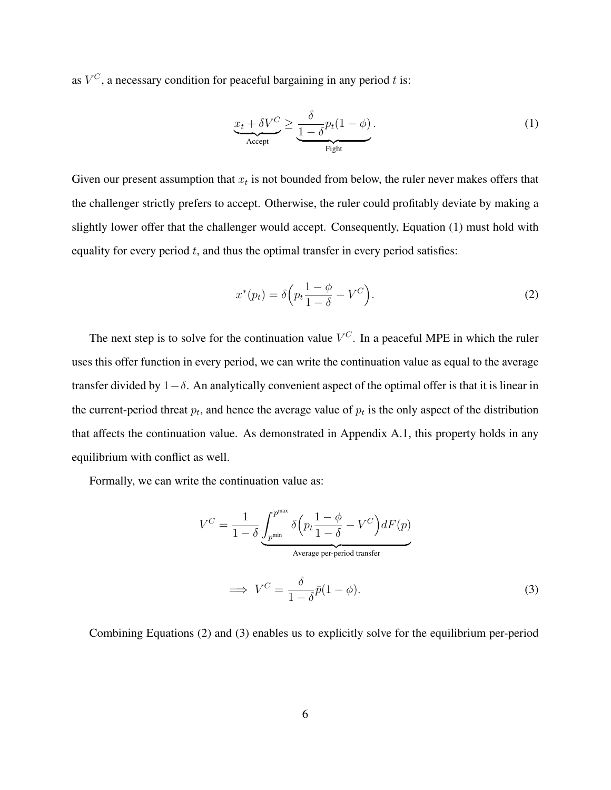as  $V^C$ , a necessary condition for peaceful bargaining in any period t is:

$$
\underbrace{x_t + \delta V^C}_{\text{Accept}} \ge \underbrace{\frac{\delta}{1 - \delta} p_t (1 - \phi)}_{\text{Right}}.
$$
\n(1)

Given our present assumption that  $x_t$  is not bounded from below, the ruler never makes offers that the challenger strictly prefers to accept. Otherwise, the ruler could profitably deviate by making a slightly lower offer that the challenger would accept. Consequently, Equation (1) must hold with equality for every period  $t$ , and thus the optimal transfer in every period satisfies:

$$
x^*(p_t) = \delta \left( p_t \frac{1 - \phi}{1 - \delta} - V^C \right).
$$
 (2)

The next step is to solve for the continuation value  $V^C$ . In a peaceful MPE in which the ruler uses this offer function in every period, we can write the continuation value as equal to the average transfer divided by  $1-\delta$ . An analytically convenient aspect of the optimal offer is that it is linear in the current-period threat  $p_t$ , and hence the average value of  $p_t$  is the only aspect of the distribution that affects the continuation value. As demonstrated in Appendix A.1, this property holds in any equilibrium with conflict as well.

Formally, we can write the continuation value as:

$$
V^{C} = \frac{1}{1 - \delta} \underbrace{\int_{p^{\min}}^{p^{\max}} \delta(p_t \frac{1 - \phi}{1 - \delta} - V^{C}) dF(p)}_{\text{Average per-period transfer}}
$$
\n
$$
\implies V^{C} = \frac{\delta}{1 - \delta} \bar{p}(1 - \phi). \tag{3}
$$

Combining Equations (2) and (3) enables us to explicitly solve for the equilibrium per-period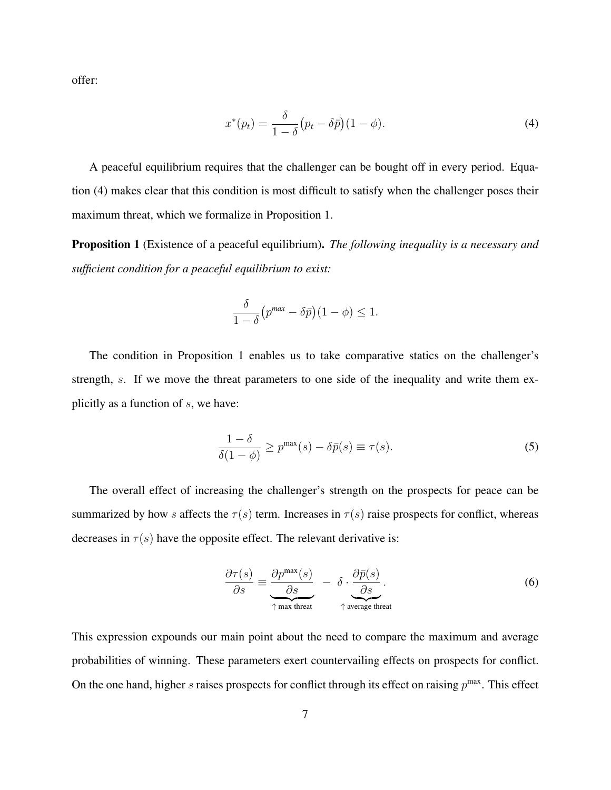offer:

$$
x^*(p_t) = \frac{\delta}{1-\delta}(p_t - \delta \bar{p})(1-\phi).
$$
\n(4)

A peaceful equilibrium requires that the challenger can be bought off in every period. Equation (4) makes clear that this condition is most difficult to satisfy when the challenger poses their maximum threat, which we formalize in Proposition 1.

Proposition 1 (Existence of a peaceful equilibrium). *The following inequality is a necessary and sufficient condition for a peaceful equilibrium to exist:*

$$
\frac{\delta}{1-\delta}\left(p^{max} - \delta\bar{p}\right)(1-\phi) \le 1.
$$

The condition in Proposition 1 enables us to take comparative statics on the challenger's strength, s. If we move the threat parameters to one side of the inequality and write them explicitly as a function of  $s$ , we have:

$$
\frac{1-\delta}{\delta(1-\phi)} \ge p^{\max}(s) - \delta \bar{p}(s) \equiv \tau(s). \tag{5}
$$

The overall effect of increasing the challenger's strength on the prospects for peace can be summarized by how s affects the  $\tau(s)$  term. Increases in  $\tau(s)$  raise prospects for conflict, whereas decreases in  $\tau(s)$  have the opposite effect. The relevant derivative is:

$$
\frac{\partial \tau(s)}{\partial s} \equiv \underbrace{\frac{\partial p^{\max}(s)}{\partial s}}_{\uparrow \text{ max three}} - \delta \cdot \underbrace{\frac{\partial \bar{p}(s)}{\partial s}}_{\uparrow \text{ average threat}}.
$$
\n(6)

This expression expounds our main point about the need to compare the maximum and average probabilities of winning. These parameters exert countervailing effects on prospects for conflict. On the one hand, higher s raises prospects for conflict through its effect on raising  $p^{\max}$ . This effect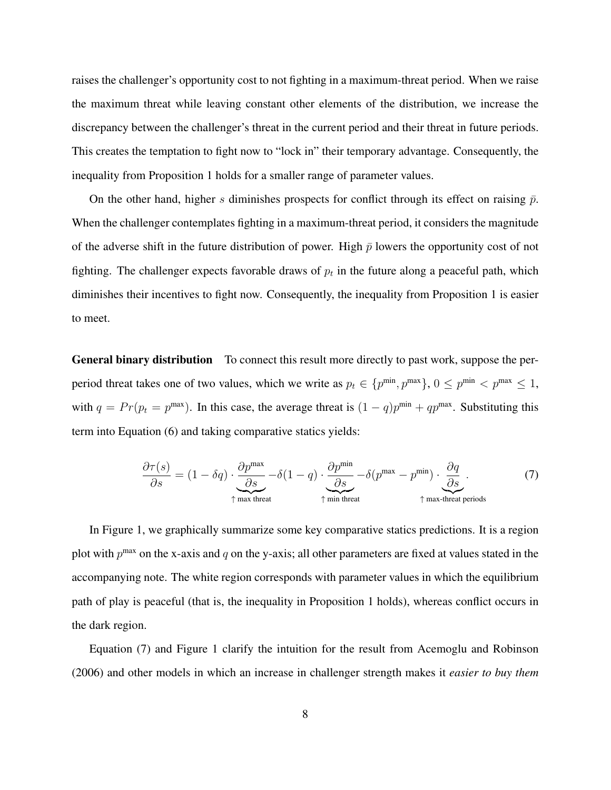raises the challenger's opportunity cost to not fighting in a maximum-threat period. When we raise the maximum threat while leaving constant other elements of the distribution, we increase the discrepancy between the challenger's threat in the current period and their threat in future periods. This creates the temptation to fight now to "lock in" their temporary advantage. Consequently, the inequality from Proposition 1 holds for a smaller range of parameter values.

On the other hand, higher s diminishes prospects for conflict through its effect on raising  $\bar{p}$ . When the challenger contemplates fighting in a maximum-threat period, it considers the magnitude of the adverse shift in the future distribution of power. High  $\bar{p}$  lowers the opportunity cost of not fighting. The challenger expects favorable draws of  $p_t$  in the future along a peaceful path, which diminishes their incentives to fight now. Consequently, the inequality from Proposition 1 is easier to meet.

General binary distribution To connect this result more directly to past work, suppose the perperiod threat takes one of two values, which we write as  $p_t \in \{p^{\min}, p^{\max}\}, 0 \leq p^{\min} < p^{\max} \leq 1$ , with  $q = Pr(p_t = p^{max})$ . In this case, the average threat is  $(1 - q)p^{min} + qp^{max}$ . Substituting this term into Equation (6) and taking comparative statics yields:

$$
\frac{\partial \tau(s)}{\partial s} = (1 - \delta q) \cdot \underbrace{\frac{\partial p^{\max}}{\partial s}}_{\uparrow \text{ max threat}} - \delta (1 - q) \cdot \underbrace{\frac{\partial p^{\min}}{\partial s}}_{\uparrow \text{ min threat}} - \delta (p^{\max} - p^{\min}) \cdot \underbrace{\frac{\partial q}{\partial s}}_{\uparrow \text{ max-thread periods}}.
$$
\n(7)

In Figure 1, we graphically summarize some key comparative statics predictions. It is a region plot with  $p^{\text{max}}$  on the x-axis and q on the y-axis; all other parameters are fixed at values stated in the accompanying note. The white region corresponds with parameter values in which the equilibrium path of play is peaceful (that is, the inequality in Proposition 1 holds), whereas conflict occurs in the dark region.

Equation (7) and Figure 1 clarify the intuition for the result from Acemoglu and Robinson (2006) and other models in which an increase in challenger strength makes it *easier to buy them*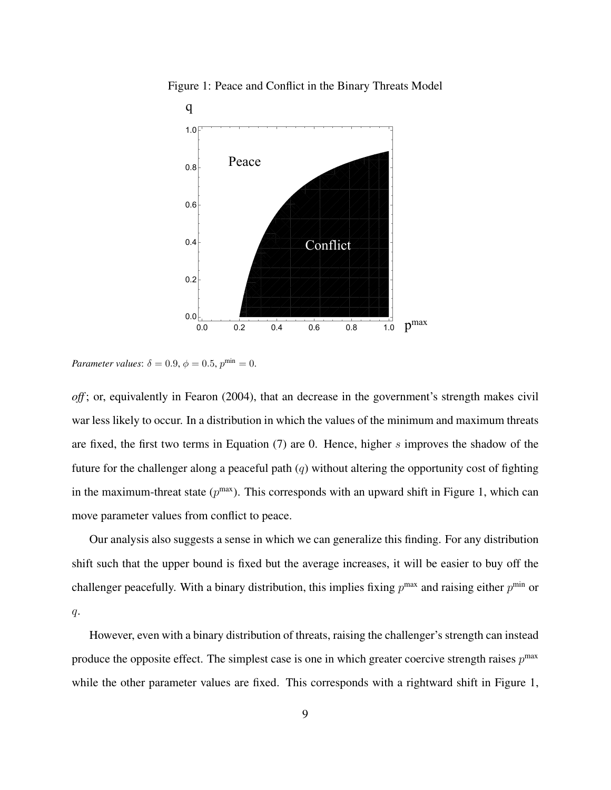

Figure 1: Peace and Conflict in the Binary Threats Model

*Parameter values*:  $\delta = 0.9$ ,  $\phi = 0.5$ ,  $p^{\min} = 0$ .

*off* ; or, equivalently in Fearon (2004), that an decrease in the government's strength makes civil war less likely to occur. In a distribution in which the values of the minimum and maximum threats are fixed, the first two terms in Equation  $(7)$  are 0. Hence, higher s improves the shadow of the future for the challenger along a peaceful path  $(q)$  without altering the opportunity cost of fighting in the maximum-threat state  $(p^{max})$ . This corresponds with an upward shift in Figure 1, which can move parameter values from conflict to peace.

Our analysis also suggests a sense in which we can generalize this finding. For any distribution shift such that the upper bound is fixed but the average increases, it will be easier to buy off the challenger peacefully. With a binary distribution, this implies fixing  $p^{\max}$  and raising either  $p^{\min}$  or  $q$ .

However, even with a binary distribution of threats, raising the challenger's strength can instead produce the opposite effect. The simplest case is one in which greater coercive strength raises  $p^{\text{max}}$ while the other parameter values are fixed. This corresponds with a rightward shift in Figure 1,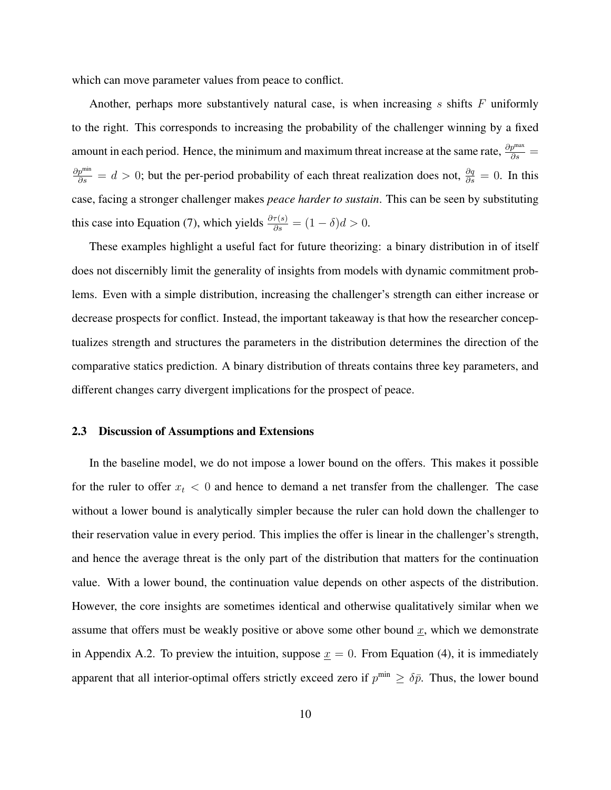which can move parameter values from peace to conflict.

Another, perhaps more substantively natural case, is when increasing  $s$  shifts  $F$  uniformly to the right. This corresponds to increasing the probability of the challenger winning by a fixed amount in each period. Hence, the minimum and maximum threat increase at the same rate,  $\frac{\partial p^{max}}{\partial s}$  =  $\frac{\partial p^{min}}{\partial s} = d > 0$ ; but the per-period probability of each threat realization does not,  $\frac{\partial q}{\partial s} = 0$ . In this case, facing a stronger challenger makes *peace harder to sustain*. This can be seen by substituting this case into Equation (7), which yields  $\frac{\partial \tau(s)}{\partial s} = (1 - \delta)d > 0$ .

These examples highlight a useful fact for future theorizing: a binary distribution in of itself does not discernibly limit the generality of insights from models with dynamic commitment problems. Even with a simple distribution, increasing the challenger's strength can either increase or decrease prospects for conflict. Instead, the important takeaway is that how the researcher conceptualizes strength and structures the parameters in the distribution determines the direction of the comparative statics prediction. A binary distribution of threats contains three key parameters, and different changes carry divergent implications for the prospect of peace.

### 2.3 Discussion of Assumptions and Extensions

In the baseline model, we do not impose a lower bound on the offers. This makes it possible for the ruler to offer  $x_t < 0$  and hence to demand a net transfer from the challenger. The case without a lower bound is analytically simpler because the ruler can hold down the challenger to their reservation value in every period. This implies the offer is linear in the challenger's strength, and hence the average threat is the only part of the distribution that matters for the continuation value. With a lower bound, the continuation value depends on other aspects of the distribution. However, the core insights are sometimes identical and otherwise qualitatively similar when we assume that offers must be weakly positive or above some other bound  $\underline{x}$ , which we demonstrate in Appendix A.2. To preview the intuition, suppose  $x = 0$ . From Equation (4), it is immediately apparent that all interior-optimal offers strictly exceed zero if  $p^{\min} \geq \delta \bar{p}$ . Thus, the lower bound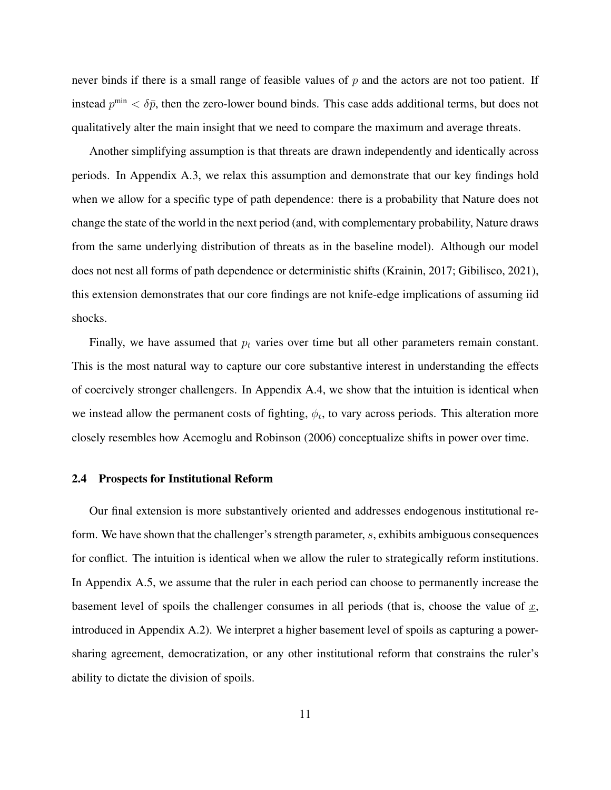never binds if there is a small range of feasible values of  $p$  and the actors are not too patient. If instead  $p^{\min} < \delta \bar{p}$ , then the zero-lower bound binds. This case adds additional terms, but does not qualitatively alter the main insight that we need to compare the maximum and average threats.

Another simplifying assumption is that threats are drawn independently and identically across periods. In Appendix A.3, we relax this assumption and demonstrate that our key findings hold when we allow for a specific type of path dependence: there is a probability that Nature does not change the state of the world in the next period (and, with complementary probability, Nature draws from the same underlying distribution of threats as in the baseline model). Although our model does not nest all forms of path dependence or deterministic shifts (Krainin, 2017; Gibilisco, 2021), this extension demonstrates that our core findings are not knife-edge implications of assuming iid shocks.

Finally, we have assumed that  $p_t$  varies over time but all other parameters remain constant. This is the most natural way to capture our core substantive interest in understanding the effects of coercively stronger challengers. In Appendix A.4, we show that the intuition is identical when we instead allow the permanent costs of fighting,  $\phi_t$ , to vary across periods. This alteration more closely resembles how Acemoglu and Robinson (2006) conceptualize shifts in power over time.

### 2.4 Prospects for Institutional Reform

Our final extension is more substantively oriented and addresses endogenous institutional reform. We have shown that the challenger's strength parameter, s, exhibits ambiguous consequences for conflict. The intuition is identical when we allow the ruler to strategically reform institutions. In Appendix A.5, we assume that the ruler in each period can choose to permanently increase the basement level of spoils the challenger consumes in all periods (that is, choose the value of  $x$ , introduced in Appendix A.2). We interpret a higher basement level of spoils as capturing a powersharing agreement, democratization, or any other institutional reform that constrains the ruler's ability to dictate the division of spoils.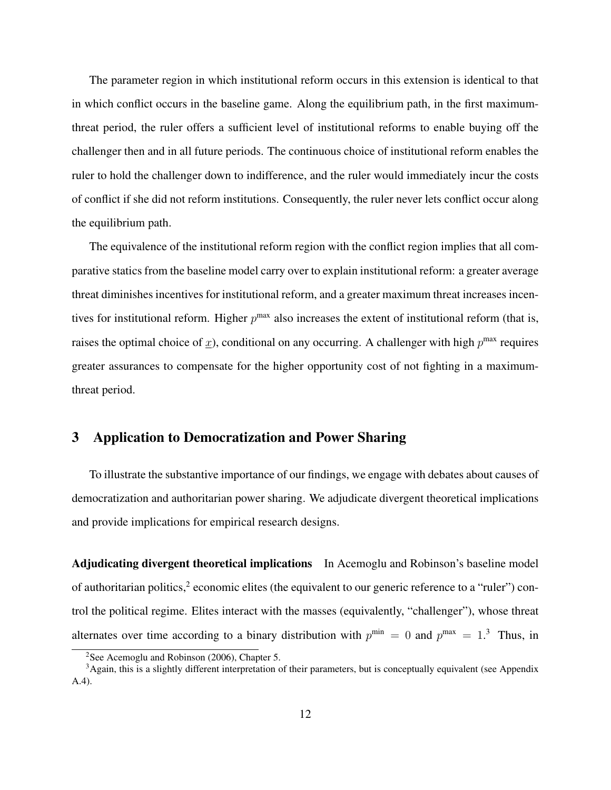The parameter region in which institutional reform occurs in this extension is identical to that in which conflict occurs in the baseline game. Along the equilibrium path, in the first maximumthreat period, the ruler offers a sufficient level of institutional reforms to enable buying off the challenger then and in all future periods. The continuous choice of institutional reform enables the ruler to hold the challenger down to indifference, and the ruler would immediately incur the costs of conflict if she did not reform institutions. Consequently, the ruler never lets conflict occur along the equilibrium path.

The equivalence of the institutional reform region with the conflict region implies that all comparative statics from the baseline model carry over to explain institutional reform: a greater average threat diminishes incentives for institutional reform, and a greater maximum threat increases incentives for institutional reform. Higher  $p^{max}$  also increases the extent of institutional reform (that is, raises the optimal choice of  $\underline{x}$ ), conditional on any occurring. A challenger with high  $p^{\text{max}}$  requires greater assurances to compensate for the higher opportunity cost of not fighting in a maximumthreat period.

# 3 Application to Democratization and Power Sharing

To illustrate the substantive importance of our findings, we engage with debates about causes of democratization and authoritarian power sharing. We adjudicate divergent theoretical implications and provide implications for empirical research designs.

Adjudicating divergent theoretical implications In Acemoglu and Robinson's baseline model of authoritarian politics,<sup>2</sup> economic elites (the equivalent to our generic reference to a "ruler") control the political regime. Elites interact with the masses (equivalently, "challenger"), whose threat alternates over time according to a binary distribution with  $p^{\min} = 0$  and  $p^{\max} = 1$ .<sup>3</sup> Thus, in

<sup>&</sup>lt;sup>2</sup>See Acemoglu and Robinson (2006), Chapter 5.

 $3A$ gain, this is a slightly different interpretation of their parameters, but is conceptually equivalent (see Appendix A.4).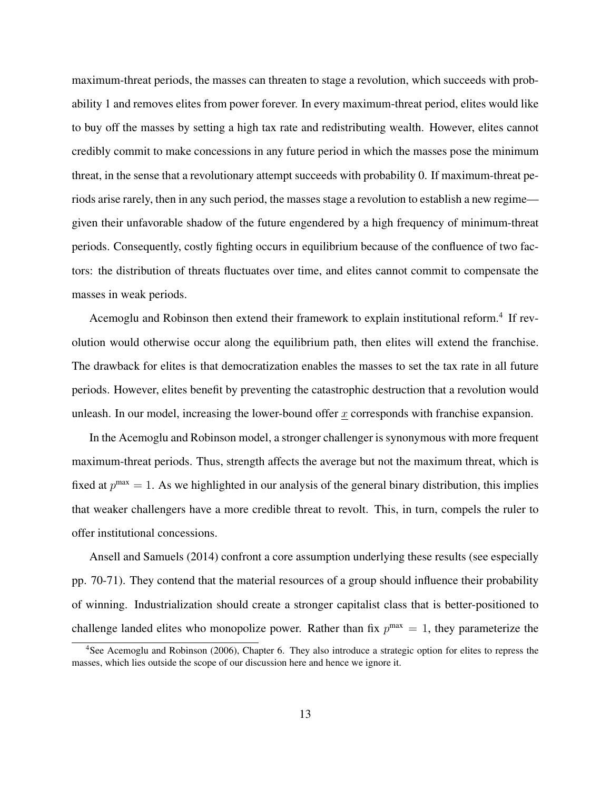maximum-threat periods, the masses can threaten to stage a revolution, which succeeds with probability 1 and removes elites from power forever. In every maximum-threat period, elites would like to buy off the masses by setting a high tax rate and redistributing wealth. However, elites cannot credibly commit to make concessions in any future period in which the masses pose the minimum threat, in the sense that a revolutionary attempt succeeds with probability 0. If maximum-threat periods arise rarely, then in any such period, the masses stage a revolution to establish a new regime given their unfavorable shadow of the future engendered by a high frequency of minimum-threat periods. Consequently, costly fighting occurs in equilibrium because of the confluence of two factors: the distribution of threats fluctuates over time, and elites cannot commit to compensate the masses in weak periods.

Acemoglu and Robinson then extend their framework to explain institutional reform.<sup>4</sup> If revolution would otherwise occur along the equilibrium path, then elites will extend the franchise. The drawback for elites is that democratization enables the masses to set the tax rate in all future periods. However, elites benefit by preventing the catastrophic destruction that a revolution would unleash. In our model, increasing the lower-bound offer  $x$  corresponds with franchise expansion.

In the Acemoglu and Robinson model, a stronger challenger is synonymous with more frequent maximum-threat periods. Thus, strength affects the average but not the maximum threat, which is fixed at  $p^{max} = 1$ . As we highlighted in our analysis of the general binary distribution, this implies that weaker challengers have a more credible threat to revolt. This, in turn, compels the ruler to offer institutional concessions.

Ansell and Samuels (2014) confront a core assumption underlying these results (see especially pp. 70-71). They contend that the material resources of a group should influence their probability of winning. Industrialization should create a stronger capitalist class that is better-positioned to challenge landed elites who monopolize power. Rather than fix  $p^{max} = 1$ , they parameterize the

<sup>4</sup>See Acemoglu and Robinson (2006), Chapter 6. They also introduce a strategic option for elites to repress the masses, which lies outside the scope of our discussion here and hence we ignore it.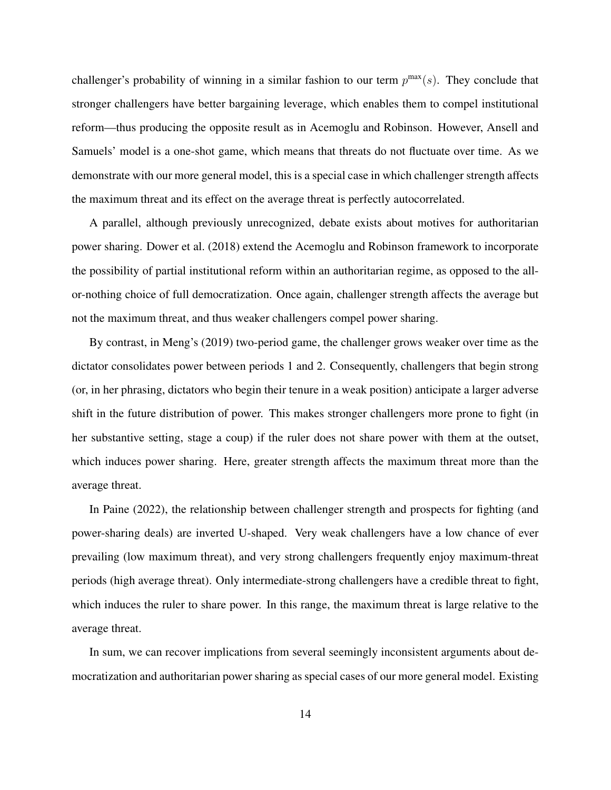challenger's probability of winning in a similar fashion to our term  $p^{\max}(s)$ . They conclude that stronger challengers have better bargaining leverage, which enables them to compel institutional reform—thus producing the opposite result as in Acemoglu and Robinson. However, Ansell and Samuels' model is a one-shot game, which means that threats do not fluctuate over time. As we demonstrate with our more general model, this is a special case in which challenger strength affects the maximum threat and its effect on the average threat is perfectly autocorrelated.

A parallel, although previously unrecognized, debate exists about motives for authoritarian power sharing. Dower et al. (2018) extend the Acemoglu and Robinson framework to incorporate the possibility of partial institutional reform within an authoritarian regime, as opposed to the allor-nothing choice of full democratization. Once again, challenger strength affects the average but not the maximum threat, and thus weaker challengers compel power sharing.

By contrast, in Meng's (2019) two-period game, the challenger grows weaker over time as the dictator consolidates power between periods 1 and 2. Consequently, challengers that begin strong (or, in her phrasing, dictators who begin their tenure in a weak position) anticipate a larger adverse shift in the future distribution of power. This makes stronger challengers more prone to fight (in her substantive setting, stage a coup) if the ruler does not share power with them at the outset, which induces power sharing. Here, greater strength affects the maximum threat more than the average threat.

In Paine (2022), the relationship between challenger strength and prospects for fighting (and power-sharing deals) are inverted U-shaped. Very weak challengers have a low chance of ever prevailing (low maximum threat), and very strong challengers frequently enjoy maximum-threat periods (high average threat). Only intermediate-strong challengers have a credible threat to fight, which induces the ruler to share power. In this range, the maximum threat is large relative to the average threat.

In sum, we can recover implications from several seemingly inconsistent arguments about democratization and authoritarian power sharing as special cases of our more general model. Existing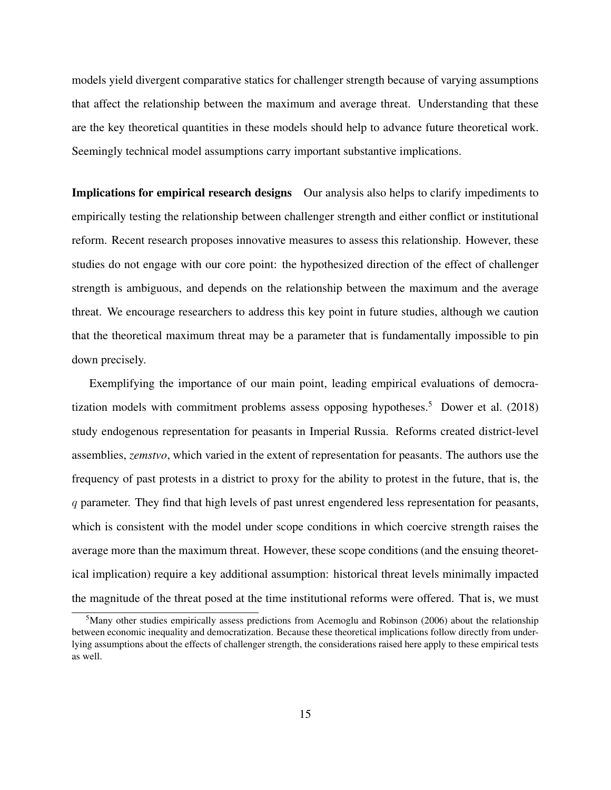models yield divergent comparative statics for challenger strength because of varying assumptions that affect the relationship between the maximum and average threat. Understanding that these are the key theoretical quantities in these models should help to advance future theoretical work. Seemingly technical model assumptions carry important substantive implications.

Implications for empirical research designs Our analysis also helps to clarify impediments to empirically testing the relationship between challenger strength and either conflict or institutional reform. Recent research proposes innovative measures to assess this relationship. However, these studies do not engage with our core point: the hypothesized direction of the effect of challenger strength is ambiguous, and depends on the relationship between the maximum and the average threat. We encourage researchers to address this key point in future studies, although we caution that the theoretical maximum threat may be a parameter that is fundamentally impossible to pin down precisely.

Exemplifying the importance of our main point, leading empirical evaluations of democratization models with commitment problems assess opposing hypotheses.<sup>5</sup> Dower et al.  $(2018)$ study endogenous representation for peasants in Imperial Russia. Reforms created district-level assemblies, *zemstvo*, which varied in the extent of representation for peasants. The authors use the frequency of past protests in a district to proxy for the ability to protest in the future, that is, the q parameter. They find that high levels of past unrest engendered less representation for peasants, which is consistent with the model under scope conditions in which coercive strength raises the average more than the maximum threat. However, these scope conditions (and the ensuing theoretical implication) require a key additional assumption: historical threat levels minimally impacted the magnitude of the threat posed at the time institutional reforms were offered. That is, we must

<sup>&</sup>lt;sup>5</sup>Many other studies empirically assess predictions from Acemoglu and Robinson (2006) about the relationship between economic inequality and democratization. Because these theoretical implications follow directly from underlying assumptions about the effects of challenger strength, the considerations raised here apply to these empirical tests as well.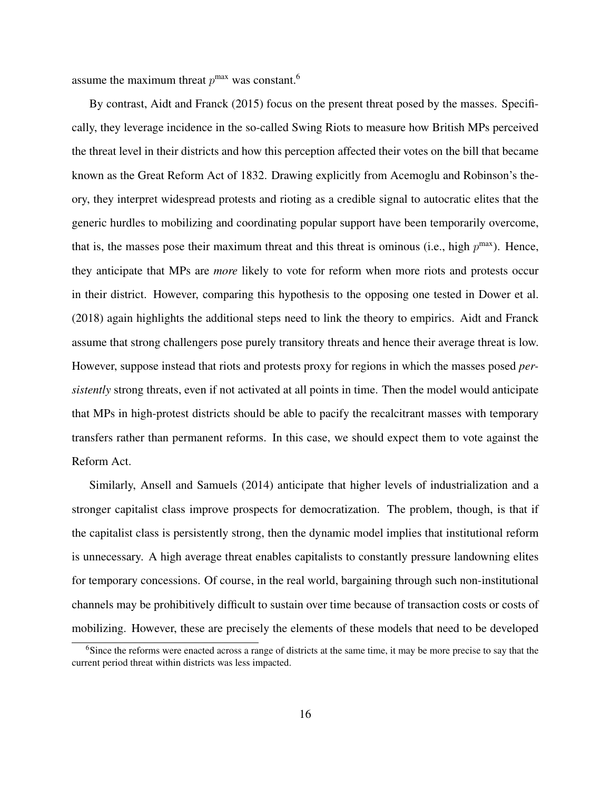assume the maximum threat  $p^{max}$  was constant.<sup>6</sup>

By contrast, Aidt and Franck (2015) focus on the present threat posed by the masses. Specifically, they leverage incidence in the so-called Swing Riots to measure how British MPs perceived the threat level in their districts and how this perception affected their votes on the bill that became known as the Great Reform Act of 1832. Drawing explicitly from Acemoglu and Robinson's theory, they interpret widespread protests and rioting as a credible signal to autocratic elites that the generic hurdles to mobilizing and coordinating popular support have been temporarily overcome, that is, the masses pose their maximum threat and this threat is ominous (i.e., high  $p^{max}$ ). Hence, they anticipate that MPs are *more* likely to vote for reform when more riots and protests occur in their district. However, comparing this hypothesis to the opposing one tested in Dower et al. (2018) again highlights the additional steps need to link the theory to empirics. Aidt and Franck assume that strong challengers pose purely transitory threats and hence their average threat is low. However, suppose instead that riots and protests proxy for regions in which the masses posed *persistently* strong threats, even if not activated at all points in time. Then the model would anticipate that MPs in high-protest districts should be able to pacify the recalcitrant masses with temporary transfers rather than permanent reforms. In this case, we should expect them to vote against the Reform Act.

Similarly, Ansell and Samuels (2014) anticipate that higher levels of industrialization and a stronger capitalist class improve prospects for democratization. The problem, though, is that if the capitalist class is persistently strong, then the dynamic model implies that institutional reform is unnecessary. A high average threat enables capitalists to constantly pressure landowning elites for temporary concessions. Of course, in the real world, bargaining through such non-institutional channels may be prohibitively difficult to sustain over time because of transaction costs or costs of mobilizing. However, these are precisely the elements of these models that need to be developed

<sup>&</sup>lt;sup>6</sup>Since the reforms were enacted across a range of districts at the same time, it may be more precise to say that the current period threat within districts was less impacted.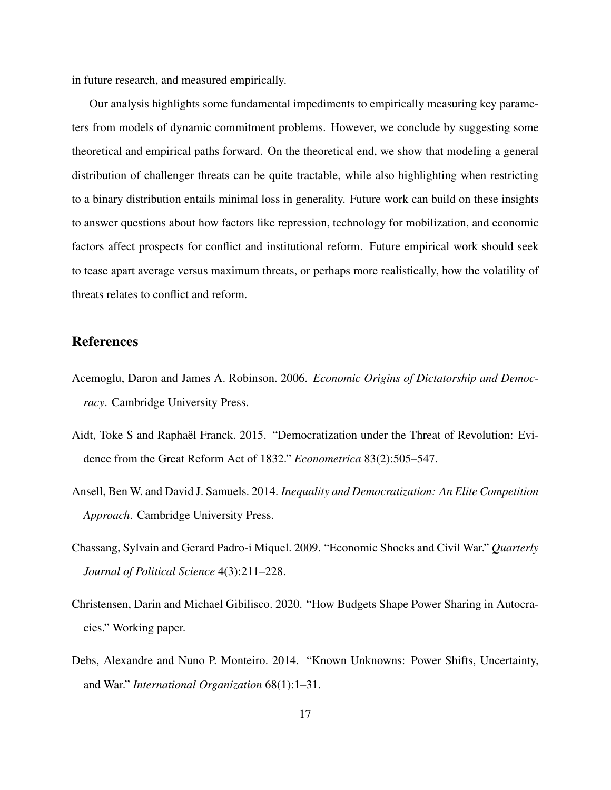in future research, and measured empirically.

Our analysis highlights some fundamental impediments to empirically measuring key parameters from models of dynamic commitment problems. However, we conclude by suggesting some theoretical and empirical paths forward. On the theoretical end, we show that modeling a general distribution of challenger threats can be quite tractable, while also highlighting when restricting to a binary distribution entails minimal loss in generality. Future work can build on these insights to answer questions about how factors like repression, technology for mobilization, and economic factors affect prospects for conflict and institutional reform. Future empirical work should seek to tease apart average versus maximum threats, or perhaps more realistically, how the volatility of threats relates to conflict and reform.

# References

- Acemoglu, Daron and James A. Robinson. 2006. *Economic Origins of Dictatorship and Democracy*. Cambridge University Press.
- Aidt, Toke S and Raphaël Franck. 2015. "Democratization under the Threat of Revolution: Evidence from the Great Reform Act of 1832." *Econometrica* 83(2):505–547.
- Ansell, Ben W. and David J. Samuels. 2014. *Inequality and Democratization: An Elite Competition Approach*. Cambridge University Press.
- Chassang, Sylvain and Gerard Padro-i Miquel. 2009. "Economic Shocks and Civil War." *Quarterly Journal of Political Science* 4(3):211–228.
- Christensen, Darin and Michael Gibilisco. 2020. "How Budgets Shape Power Sharing in Autocracies." Working paper.
- Debs, Alexandre and Nuno P. Monteiro. 2014. "Known Unknowns: Power Shifts, Uncertainty, and War." *International Organization* 68(1):1–31.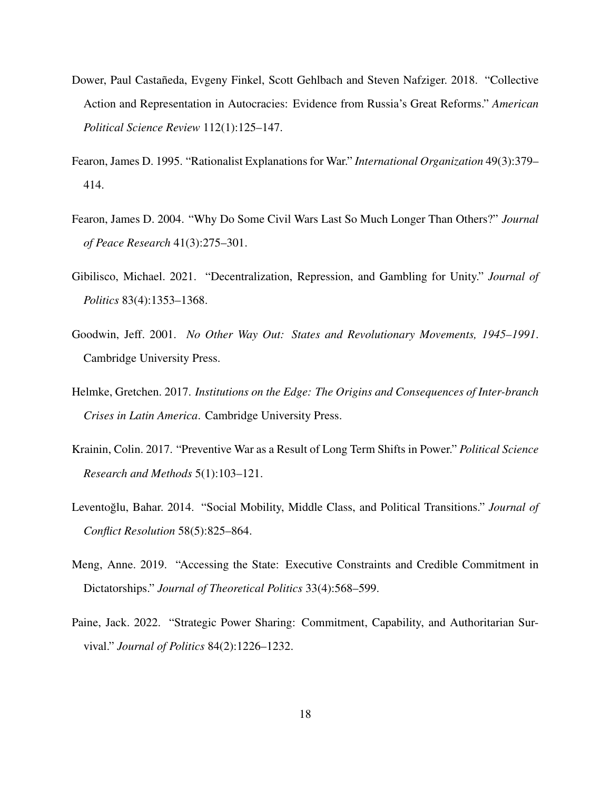- Dower, Paul Castañeda, Evgeny Finkel, Scott Gehlbach and Steven Nafziger. 2018. "Collective Action and Representation in Autocracies: Evidence from Russia's Great Reforms." *American Political Science Review* 112(1):125–147.
- Fearon, James D. 1995. "Rationalist Explanations for War." *International Organization* 49(3):379– 414.
- Fearon, James D. 2004. "Why Do Some Civil Wars Last So Much Longer Than Others?" *Journal of Peace Research* 41(3):275–301.
- Gibilisco, Michael. 2021. "Decentralization, Repression, and Gambling for Unity." *Journal of Politics* 83(4):1353–1368.
- Goodwin, Jeff. 2001. *No Other Way Out: States and Revolutionary Movements, 1945–1991*. Cambridge University Press.
- Helmke, Gretchen. 2017. *Institutions on the Edge: The Origins and Consequences of Inter-branch Crises in Latin America*. Cambridge University Press.
- Krainin, Colin. 2017. "Preventive War as a Result of Long Term Shifts in Power." *Political Science Research and Methods* 5(1):103–121.
- Leventoğlu, Bahar. 2014. "Social Mobility, Middle Class, and Political Transitions." *Journal of Conflict Resolution* 58(5):825–864.
- Meng, Anne. 2019. "Accessing the State: Executive Constraints and Credible Commitment in Dictatorships." *Journal of Theoretical Politics* 33(4):568–599.
- Paine, Jack. 2022. "Strategic Power Sharing: Commitment, Capability, and Authoritarian Survival." *Journal of Politics* 84(2):1226–1232.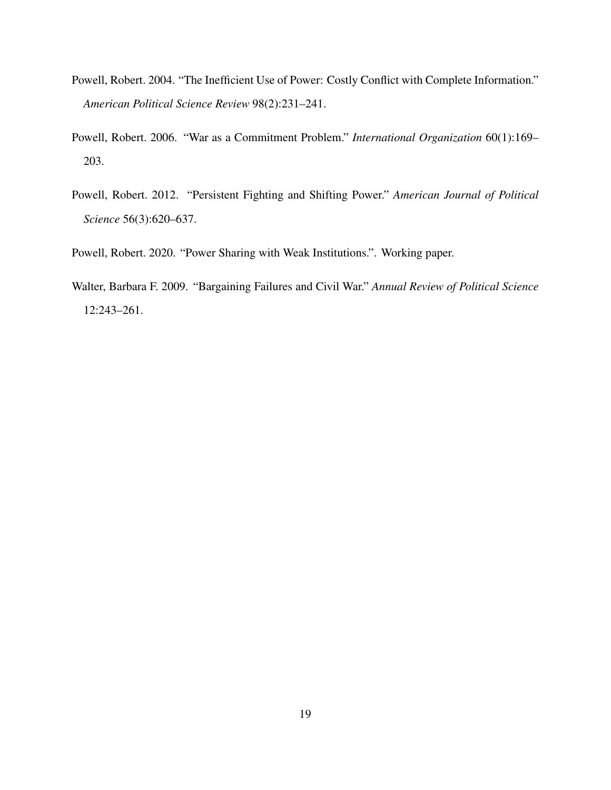- Powell, Robert. 2004. "The Inefficient Use of Power: Costly Conflict with Complete Information." *American Political Science Review* 98(2):231–241.
- Powell, Robert. 2006. "War as a Commitment Problem." *International Organization* 60(1):169– 203.
- Powell, Robert. 2012. "Persistent Fighting and Shifting Power." *American Journal of Political Science* 56(3):620–637.
- Powell, Robert. 2020. "Power Sharing with Weak Institutions.". Working paper.
- Walter, Barbara F. 2009. "Bargaining Failures and Civil War." *Annual Review of Political Science* 12:243–261.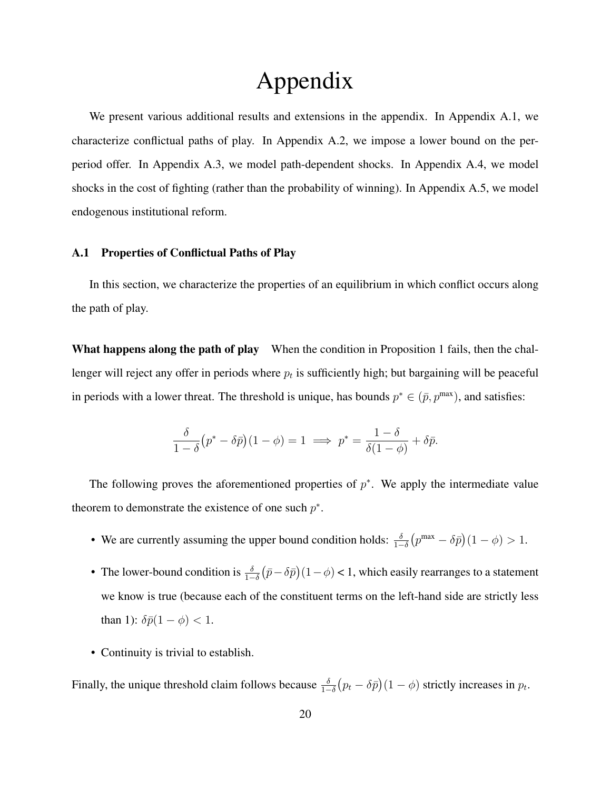# Appendix

We present various additional results and extensions in the appendix. In Appendix A.1, we characterize conflictual paths of play. In Appendix A.2, we impose a lower bound on the perperiod offer. In Appendix A.3, we model path-dependent shocks. In Appendix A.4, we model shocks in the cost of fighting (rather than the probability of winning). In Appendix A.5, we model endogenous institutional reform.

## A.1 Properties of Conflictual Paths of Play

In this section, we characterize the properties of an equilibrium in which conflict occurs along the path of play.

What happens along the path of play When the condition in Proposition 1 fails, then the challenger will reject any offer in periods where  $p_t$  is sufficiently high; but bargaining will be peaceful in periods with a lower threat. The threshold is unique, has bounds  $p^* \in (\bar{p}, p^{\max})$ , and satisfies:

$$
\frac{\delta}{1-\delta}(p^* - \delta \bar{p})(1-\phi) = 1 \implies p^* = \frac{1-\delta}{\delta(1-\phi)} + \delta \bar{p}.
$$

The following proves the aforementioned properties of  $p^*$ . We apply the intermediate value theorem to demonstrate the existence of one such  $p^*$ .

- We are currently assuming the upper bound condition holds:  $\frac{\delta}{1-\delta}(p^{\max}-\delta\bar{p})(1-\phi) > 1$ .
- The lower-bound condition is  $\frac{\delta}{1-\delta}(\bar{p}-\delta\bar{p})(1-\phi) < 1$ , which easily rearranges to a statement we know is true (because each of the constituent terms on the left-hand side are strictly less than 1):  $\delta \bar{p}(1-\phi) < 1$ .
- Continuity is trivial to establish.

Finally, the unique threshold claim follows because  $\frac{\delta}{1-\delta}(p_t - \delta \bar{p})(1-\phi)$  strictly increases in  $p_t$ .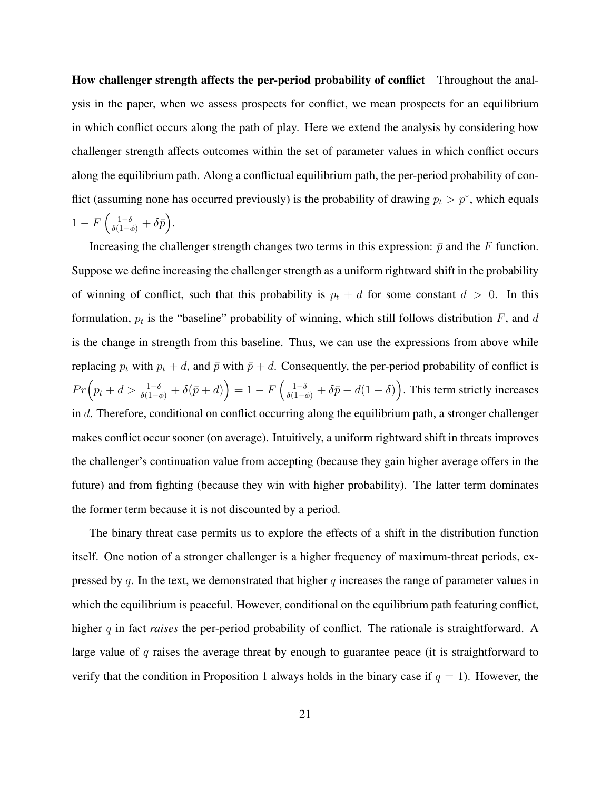How challenger strength affects the per-period probability of conflict Throughout the analysis in the paper, when we assess prospects for conflict, we mean prospects for an equilibrium in which conflict occurs along the path of play. Here we extend the analysis by considering how challenger strength affects outcomes within the set of parameter values in which conflict occurs along the equilibrium path. Along a conflictual equilibrium path, the per-period probability of conflict (assuming none has occurred previously) is the probability of drawing  $p_t > p^*$ , which equals  $1-F\left(\frac{1-\delta}{\delta(1-\phi)}+\delta\bar{p}\right).$ 

Increasing the challenger strength changes two terms in this expression:  $\bar{p}$  and the F function. Suppose we define increasing the challenger strength as a uniform rightward shift in the probability of winning of conflict, such that this probability is  $p_t + d$  for some constant  $d > 0$ . In this formulation,  $p_t$  is the "baseline" probability of winning, which still follows distribution F, and d is the change in strength from this baseline. Thus, we can use the expressions from above while replacing  $p_t$  with  $p_t + d$ , and  $\bar{p}$  with  $\bar{p} + d$ . Consequently, the per-period probability of conflict is  $Pr\left(p_t+d > \frac{1-\delta}{\delta(1-\phi)}+\delta(\bar{p}+d)\right) = 1 - F\left(\frac{1-\delta}{\delta(1-\phi)}+\delta\bar{p}-d(1-\delta)\right)$ . This term strictly increases in  $d$ . Therefore, conditional on conflict occurring along the equilibrium path, a stronger challenger makes conflict occur sooner (on average). Intuitively, a uniform rightward shift in threats improves the challenger's continuation value from accepting (because they gain higher average offers in the future) and from fighting (because they win with higher probability). The latter term dominates the former term because it is not discounted by a period.

The binary threat case permits us to explore the effects of a shift in the distribution function itself. One notion of a stronger challenger is a higher frequency of maximum-threat periods, expressed by q. In the text, we demonstrated that higher q increases the range of parameter values in which the equilibrium is peaceful. However, conditional on the equilibrium path featuring conflict, higher q in fact *raises* the per-period probability of conflict. The rationale is straightforward. A large value of  $q$  raises the average threat by enough to guarantee peace (it is straightforward to verify that the condition in Proposition 1 always holds in the binary case if  $q = 1$ ). However, the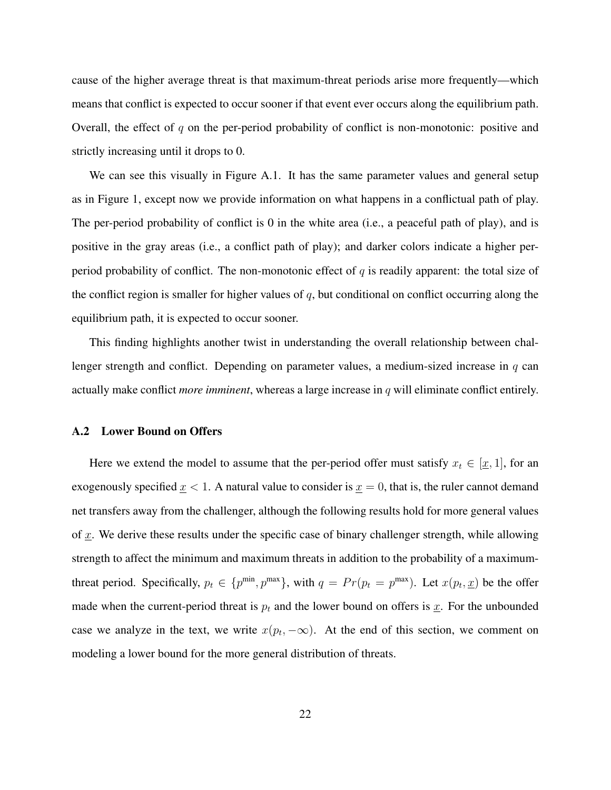cause of the higher average threat is that maximum-threat periods arise more frequently—which means that conflict is expected to occur sooner if that event ever occurs along the equilibrium path. Overall, the effect of  $q$  on the per-period probability of conflict is non-monotonic: positive and strictly increasing until it drops to 0.

We can see this visually in Figure A.1. It has the same parameter values and general setup as in Figure 1, except now we provide information on what happens in a conflictual path of play. The per-period probability of conflict is 0 in the white area (i.e., a peaceful path of play), and is positive in the gray areas (i.e., a conflict path of play); and darker colors indicate a higher perperiod probability of conflict. The non-monotonic effect of q is readily apparent: the total size of the conflict region is smaller for higher values of  $q$ , but conditional on conflict occurring along the equilibrium path, it is expected to occur sooner.

This finding highlights another twist in understanding the overall relationship between challenger strength and conflict. Depending on parameter values, a medium-sized increase in q can actually make conflict *more imminent*, whereas a large increase in q will eliminate conflict entirely.

### A.2 Lower Bound on Offers

Here we extend the model to assume that the per-period offer must satisfy  $x_t \in [\underline{x}, 1]$ , for an exogenously specified  $x < 1$ . A natural value to consider is  $x = 0$ , that is, the ruler cannot demand net transfers away from the challenger, although the following results hold for more general values of  $x$ . We derive these results under the specific case of binary challenger strength, while allowing strength to affect the minimum and maximum threats in addition to the probability of a maximumthreat period. Specifically,  $p_t \in \{p^{\min}, p^{\max}\}\$ , with  $q = Pr(p_t = p^{\max})$ . Let  $x(p_t, \underline{x})$  be the offer made when the current-period threat is  $p_t$  and the lower bound on offers is  $\underline{x}$ . For the unbounded case we analyze in the text, we write  $x(p_t, -\infty)$ . At the end of this section, we comment on modeling a lower bound for the more general distribution of threats.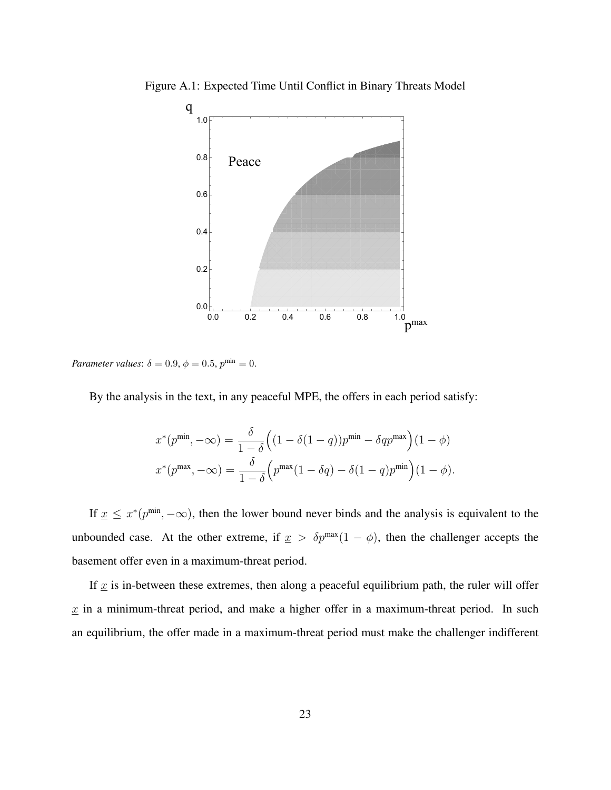

Figure A.1: Expected Time Until Conflict in Binary Threats Model

*Parameter values*:  $\delta = 0.9$ ,  $\phi = 0.5$ ,  $p^{\min} = 0$ .

By the analysis in the text, in any peaceful MPE, the offers in each period satisfy:

$$
x^*(p^{\min}, -\infty) = \frac{\delta}{1-\delta} \Big( (1-\delta(1-q))p^{\min} - \delta qp^{\max} \Big) (1-\phi)
$$

$$
x^*(p^{\max}, -\infty) = \frac{\delta}{1-\delta} \Big( p^{\max} (1-\delta q) - \delta (1-q) p^{\min} \Big) (1-\phi).
$$

If  $x \leq x^*(p^{\min}, -\infty)$ , then the lower bound never binds and the analysis is equivalent to the unbounded case. At the other extreme, if  $x > \delta p^{\max}(1 - \phi)$ , then the challenger accepts the basement offer even in a maximum-threat period.

If  $x$  is in-between these extremes, then along a peaceful equilibrium path, the ruler will offer  $x$  in a minimum-threat period, and make a higher offer in a maximum-threat period. In such an equilibrium, the offer made in a maximum-threat period must make the challenger indifferent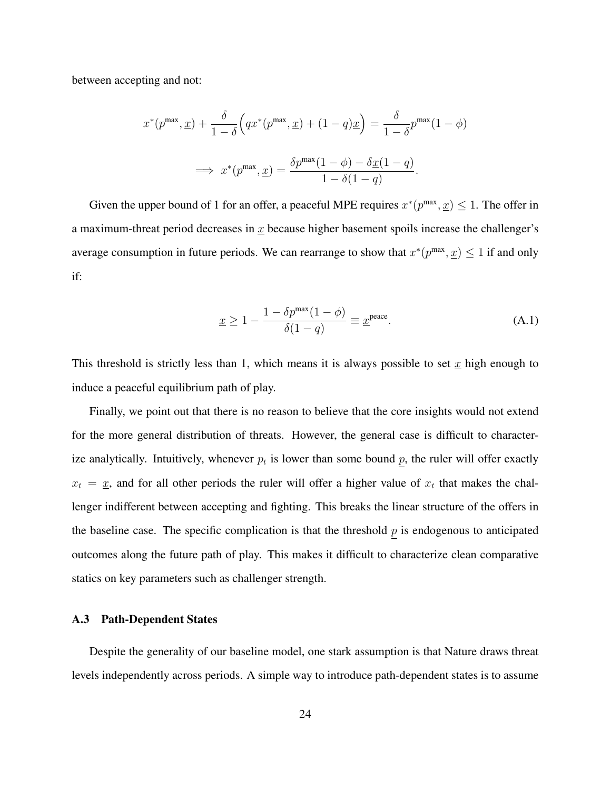between accepting and not:

$$
x^*(p^{\max}, \underline{x}) + \frac{\delta}{1-\delta} \Big( qx^*(p^{\max}, \underline{x}) + (1-q)\underline{x} \Big) = \frac{\delta}{1-\delta} p^{\max}(1-\phi)
$$

$$
\implies x^*(p^{\max}, \underline{x}) = \frac{\delta p^{\max}(1-\phi) - \delta \underline{x}(1-q)}{1-\delta(1-q)}.
$$

Given the upper bound of 1 for an offer, a peaceful MPE requires  $x^*(p^{\max}, x) \leq 1$ . The offer in a maximum-threat period decreases in  $x$  because higher basement spoils increase the challenger's average consumption in future periods. We can rearrange to show that  $x^*(p^{\max}, \underline{x}) \leq 1$  if and only if:

$$
\underline{x} \ge 1 - \frac{1 - \delta p^{\max}(1 - \phi)}{\delta(1 - q)} \equiv \underline{x}^{\text{peace}}.\tag{A.1}
$$

This threshold is strictly less than 1, which means it is always possible to set  $x$  high enough to induce a peaceful equilibrium path of play.

Finally, we point out that there is no reason to believe that the core insights would not extend for the more general distribution of threats. However, the general case is difficult to characterize analytically. Intuitively, whenever  $p_t$  is lower than some bound p, the ruler will offer exactly  $x_t = \underline{x}$ , and for all other periods the ruler will offer a higher value of  $x_t$  that makes the challenger indifferent between accepting and fighting. This breaks the linear structure of the offers in the baseline case. The specific complication is that the threshold  $p$  is endogenous to anticipated outcomes along the future path of play. This makes it difficult to characterize clean comparative statics on key parameters such as challenger strength.

# A.3 Path-Dependent States

Despite the generality of our baseline model, one stark assumption is that Nature draws threat levels independently across periods. A simple way to introduce path-dependent states is to assume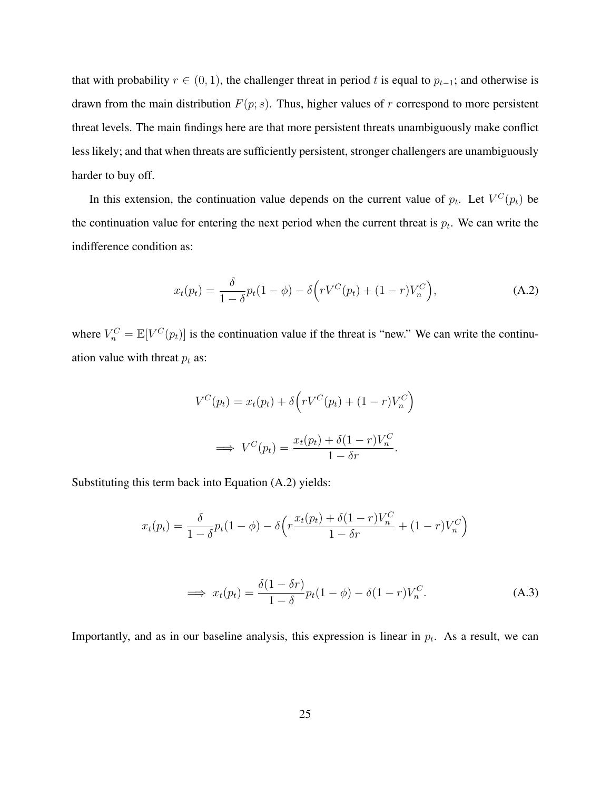that with probability  $r \in (0, 1)$ , the challenger threat in period t is equal to  $p_{t-1}$ ; and otherwise is drawn from the main distribution  $F(p; s)$ . Thus, higher values of r correspond to more persistent threat levels. The main findings here are that more persistent threats unambiguously make conflict less likely; and that when threats are sufficiently persistent, stronger challengers are unambiguously harder to buy off.

In this extension, the continuation value depends on the current value of  $p_t$ . Let  $V^C(p_t)$  be the continuation value for entering the next period when the current threat is  $p_t$ . We can write the indifference condition as:

$$
x_t(p_t) = \frac{\delta}{1 - \delta} p_t(1 - \phi) - \delta \left( rV^C(p_t) + (1 - r)V_n^C \right), \tag{A.2}
$$

where  $V_n^C = \mathbb{E}[V^C(p_t)]$  is the continuation value if the threat is "new." We can write the continuation value with threat  $p_t$  as:

$$
V^C(p_t) = x_t(p_t) + \delta \left( r V^C(p_t) + (1 - r) V_n^C \right)
$$

$$
\implies V^C(p_t) = \frac{x_t(p_t) + \delta (1 - r) V_n^C}{1 - \delta r}.
$$

Substituting this term back into Equation (A.2) yields:

$$
x_t(p_t) = \frac{\delta}{1-\delta}p_t(1-\phi) - \delta\left(r\frac{x_t(p_t) + \delta(1-r)V_n^C}{1-\delta r} + (1-r)V_n^C\right)
$$

$$
\implies x_t(p_t) = \frac{\delta(1 - \delta r)}{1 - \delta} p_t(1 - \phi) - \delta(1 - r)V_n^C. \tag{A.3}
$$

Importantly, and as in our baseline analysis, this expression is linear in  $p_t$ . As a result, we can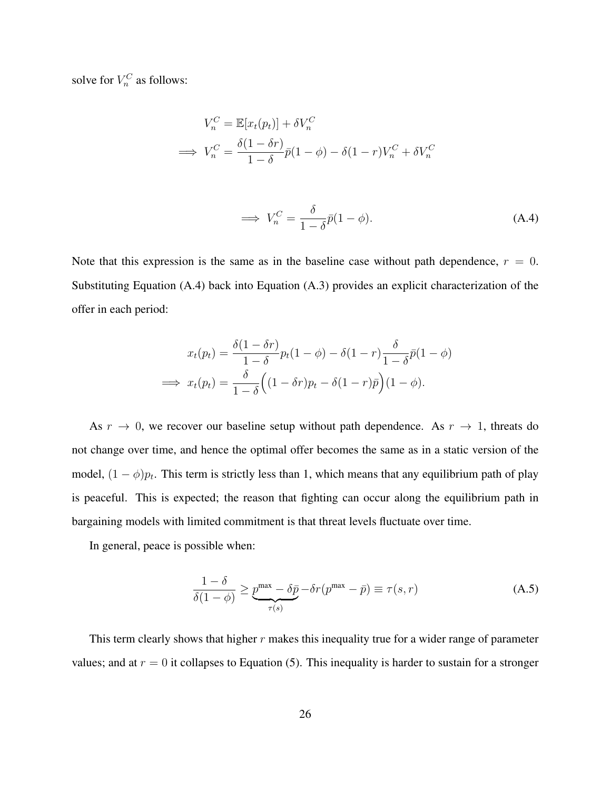solve for  $V_n^C$  as follows:

$$
V_n^C = \mathbb{E}[x_t(p_t)] + \delta V_n^C
$$
  
\n
$$
\implies V_n^C = \frac{\delta(1 - \delta r)}{1 - \delta} \bar{p}(1 - \phi) - \delta(1 - r)V_n^C + \delta V_n^C
$$

$$
\implies V_n^C = \frac{\delta}{1 - \delta} \bar{p}(1 - \phi). \tag{A.4}
$$

Note that this expression is the same as in the baseline case without path dependence,  $r = 0$ . Substituting Equation (A.4) back into Equation (A.3) provides an explicit characterization of the offer in each period:

$$
x_t(p_t) = \frac{\delta(1 - \delta r)}{1 - \delta} p_t(1 - \phi) - \delta(1 - r) \frac{\delta}{1 - \delta} \bar{p}(1 - \phi)
$$

$$
\implies x_t(p_t) = \frac{\delta}{1 - \delta} \Big( (1 - \delta r) p_t - \delta(1 - r) \bar{p} \Big) (1 - \phi).
$$

As  $r \to 0$ , we recover our baseline setup without path dependence. As  $r \to 1$ , threats do not change over time, and hence the optimal offer becomes the same as in a static version of the model,  $(1 - \phi)p_t$ . This term is strictly less than 1, which means that any equilibrium path of play is peaceful. This is expected; the reason that fighting can occur along the equilibrium path in bargaining models with limited commitment is that threat levels fluctuate over time.

In general, peace is possible when:

$$
\frac{1-\delta}{\delta(1-\phi)} \ge \underbrace{p^{\max} - \delta \bar{p}}_{\tau(s)} - \delta r(p^{\max} - \bar{p}) \equiv \tau(s, r) \tag{A.5}
$$

This term clearly shows that higher  $r$  makes this inequality true for a wider range of parameter values; and at  $r = 0$  it collapses to Equation (5). This inequality is harder to sustain for a stronger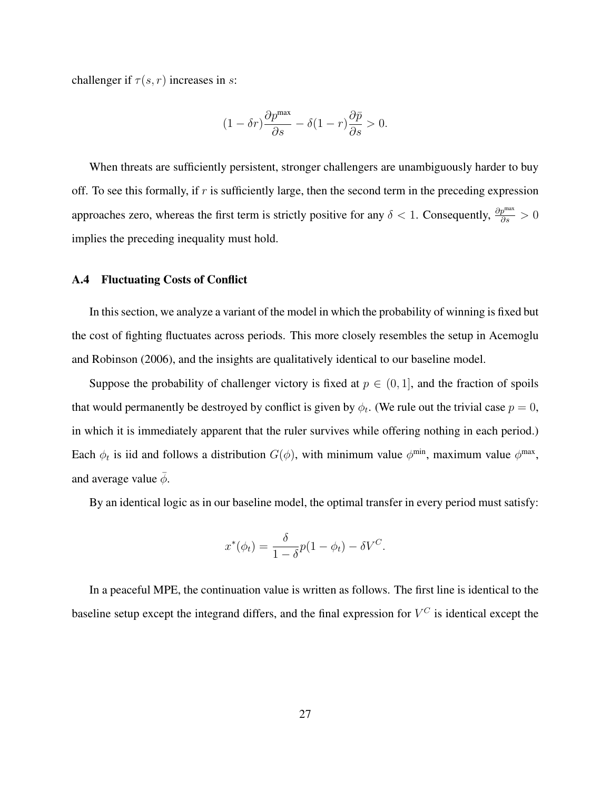challenger if  $\tau(s, r)$  increases in s:

$$
(1 - \delta r) \frac{\partial p^{\text{max}}}{\partial s} - \delta (1 - r) \frac{\partial \bar{p}}{\partial s} > 0.
$$

When threats are sufficiently persistent, stronger challengers are unambiguously harder to buy off. To see this formally, if  $r$  is sufficiently large, then the second term in the preceding expression approaches zero, whereas the first term is strictly positive for any  $\delta < 1$ . Consequently,  $\frac{\partial p^{max}}{\partial s} > 0$ implies the preceding inequality must hold.

## A.4 Fluctuating Costs of Conflict

In this section, we analyze a variant of the model in which the probability of winning is fixed but the cost of fighting fluctuates across periods. This more closely resembles the setup in Acemoglu and Robinson (2006), and the insights are qualitatively identical to our baseline model.

Suppose the probability of challenger victory is fixed at  $p \in (0, 1]$ , and the fraction of spoils that would permanently be destroyed by conflict is given by  $\phi_t$ . (We rule out the trivial case  $p = 0$ , in which it is immediately apparent that the ruler survives while offering nothing in each period.) Each  $\phi_t$  is iid and follows a distribution  $G(\phi)$ , with minimum value  $\phi^{\min}$ , maximum value  $\phi^{\max}$ , and average value  $\bar{\phi}$ .

By an identical logic as in our baseline model, the optimal transfer in every period must satisfy:

$$
x^*(\phi_t) = \frac{\delta}{1-\delta}p(1-\phi_t) - \delta V^C.
$$

In a peaceful MPE, the continuation value is written as follows. The first line is identical to the baseline setup except the integrand differs, and the final expression for  $V^C$  is identical except the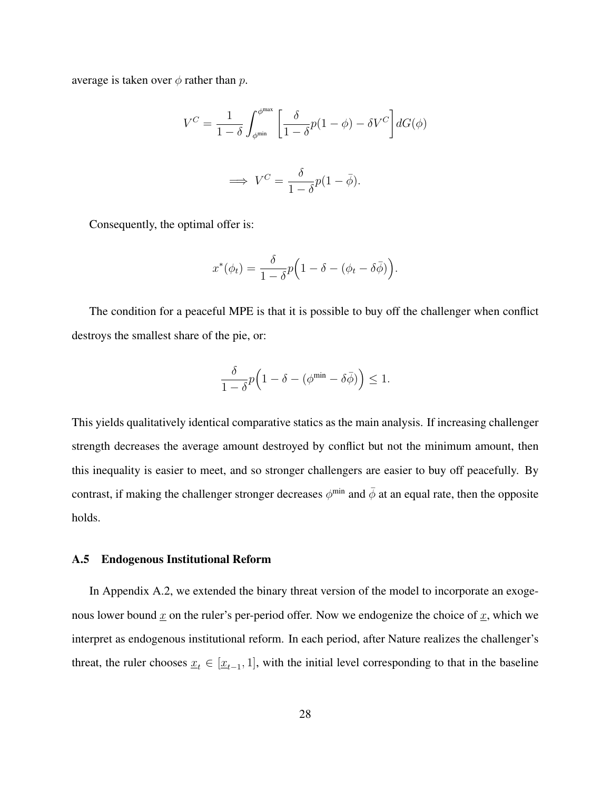average is taken over  $\phi$  rather than p.

$$
V^C = \frac{1}{1-\delta} \int_{\phi^{\min}}^{\phi^{\max}} \left[ \frac{\delta}{1-\delta} p(1-\phi) - \delta V^C \right] dG(\phi)
$$

$$
\implies V^C = \frac{\delta}{1-\delta} p(1-\bar{\phi}).
$$

Consequently, the optimal offer is:

$$
x^*(\phi_t) = \frac{\delta}{1-\delta}p\Big(1-\delta - (\phi_t - \delta\bar{\phi})\Big).
$$

The condition for a peaceful MPE is that it is possible to buy off the challenger when conflict destroys the smallest share of the pie, or:

$$
\frac{\delta}{1-\delta}p\Big(1-\delta-(\phi^{\min}-\delta\bar{\phi})\Big)\leq 1.
$$

This yields qualitatively identical comparative statics as the main analysis. If increasing challenger strength decreases the average amount destroyed by conflict but not the minimum amount, then this inequality is easier to meet, and so stronger challengers are easier to buy off peacefully. By contrast, if making the challenger stronger decreases  $\phi^{\min}$  and  $\bar{\phi}$  at an equal rate, then the opposite holds.

## A.5 Endogenous Institutional Reform

In Appendix A.2, we extended the binary threat version of the model to incorporate an exogenous lower bound  $\underline{x}$  on the ruler's per-period offer. Now we endogenize the choice of  $\underline{x}$ , which we interpret as endogenous institutional reform. In each period, after Nature realizes the challenger's threat, the ruler chooses  $\underline{x}_t \in [\underline{x}_{t-1}, 1]$ , with the initial level corresponding to that in the baseline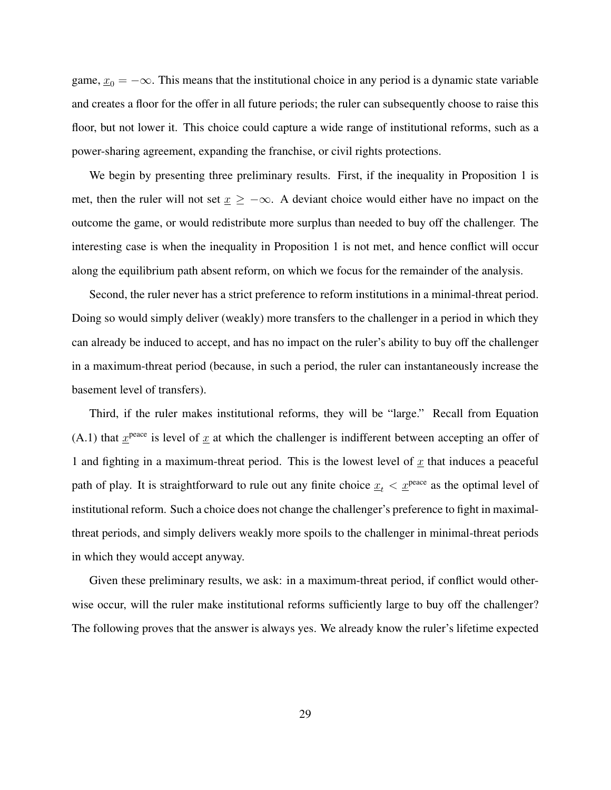game,  $x_0 = -\infty$ . This means that the institutional choice in any period is a dynamic state variable and creates a floor for the offer in all future periods; the ruler can subsequently choose to raise this floor, but not lower it. This choice could capture a wide range of institutional reforms, such as a power-sharing agreement, expanding the franchise, or civil rights protections.

We begin by presenting three preliminary results. First, if the inequality in Proposition 1 is met, then the ruler will not set  $x \geq -\infty$ . A deviant choice would either have no impact on the outcome the game, or would redistribute more surplus than needed to buy off the challenger. The interesting case is when the inequality in Proposition 1 is not met, and hence conflict will occur along the equilibrium path absent reform, on which we focus for the remainder of the analysis.

Second, the ruler never has a strict preference to reform institutions in a minimal-threat period. Doing so would simply deliver (weakly) more transfers to the challenger in a period in which they can already be induced to accept, and has no impact on the ruler's ability to buy off the challenger in a maximum-threat period (because, in such a period, the ruler can instantaneously increase the basement level of transfers).

Third, if the ruler makes institutional reforms, they will be "large." Recall from Equation (A.1) that  $x^{peace}$  is level of x at which the challenger is indifferent between accepting an offer of 1 and fighting in a maximum-threat period. This is the lowest level of  $x$  that induces a peaceful path of play. It is straightforward to rule out any finite choice  $x_t < x^{\text{peace}}$  as the optimal level of institutional reform. Such a choice does not change the challenger's preference to fight in maximalthreat periods, and simply delivers weakly more spoils to the challenger in minimal-threat periods in which they would accept anyway.

Given these preliminary results, we ask: in a maximum-threat period, if conflict would otherwise occur, will the ruler make institutional reforms sufficiently large to buy off the challenger? The following proves that the answer is always yes. We already know the ruler's lifetime expected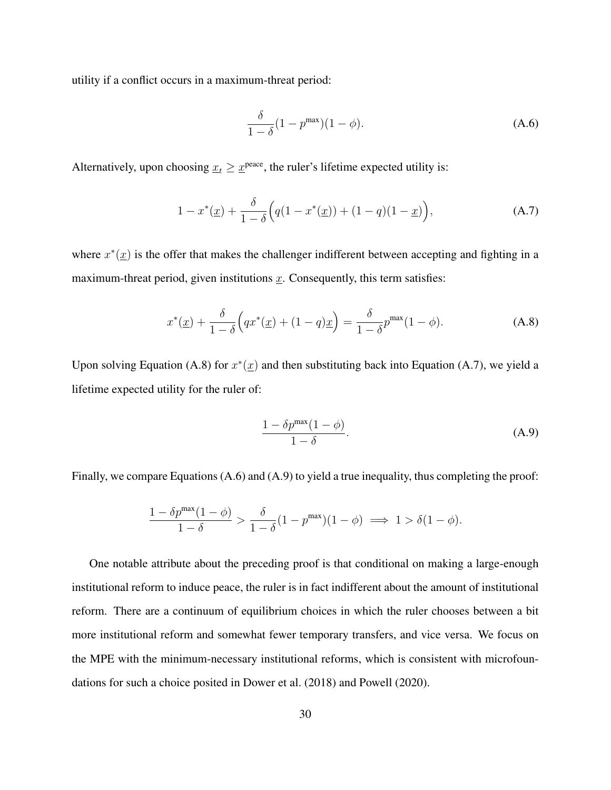utility if a conflict occurs in a maximum-threat period:

$$
\frac{\delta}{1-\delta}(1-p^{\max})(1-\phi). \tag{A.6}
$$

Alternatively, upon choosing  $\underline{x}_t \geq \underline{x}^{\text{peace}}$ , the ruler's lifetime expected utility is:

$$
1 - x^*(\underline{x}) + \frac{\delta}{1 - \delta} \Big( q(1 - x^*(\underline{x})) + (1 - q)(1 - \underline{x}) \Big), \tag{A.7}
$$

where  $x^*(\underline{x})$  is the offer that makes the challenger indifferent between accepting and fighting in a maximum-threat period, given institutions  $\underline{x}$ . Consequently, this term satisfies:

$$
x^*(\underline{x}) + \frac{\delta}{1 - \delta} \Big( qx^*(\underline{x}) + (1 - q)\underline{x} \Big) = \frac{\delta}{1 - \delta} p^{\max} (1 - \phi).
$$
 (A.8)

Upon solving Equation (A.8) for  $x^*(\underline{x})$  and then substituting back into Equation (A.7), we yield a lifetime expected utility for the ruler of:

$$
\frac{1 - \delta p^{\max}(1 - \phi)}{1 - \delta}.
$$
 (A.9)

Finally, we compare Equations (A.6) and (A.9) to yield a true inequality, thus completing the proof:

$$
\frac{1-\delta p^{\max}(1-\phi)}{1-\delta} > \frac{\delta}{1-\delta}(1-p^{\max})(1-\phi) \implies 1 > \delta(1-\phi).
$$

One notable attribute about the preceding proof is that conditional on making a large-enough institutional reform to induce peace, the ruler is in fact indifferent about the amount of institutional reform. There are a continuum of equilibrium choices in which the ruler chooses between a bit more institutional reform and somewhat fewer temporary transfers, and vice versa. We focus on the MPE with the minimum-necessary institutional reforms, which is consistent with microfoundations for such a choice posited in Dower et al. (2018) and Powell (2020).